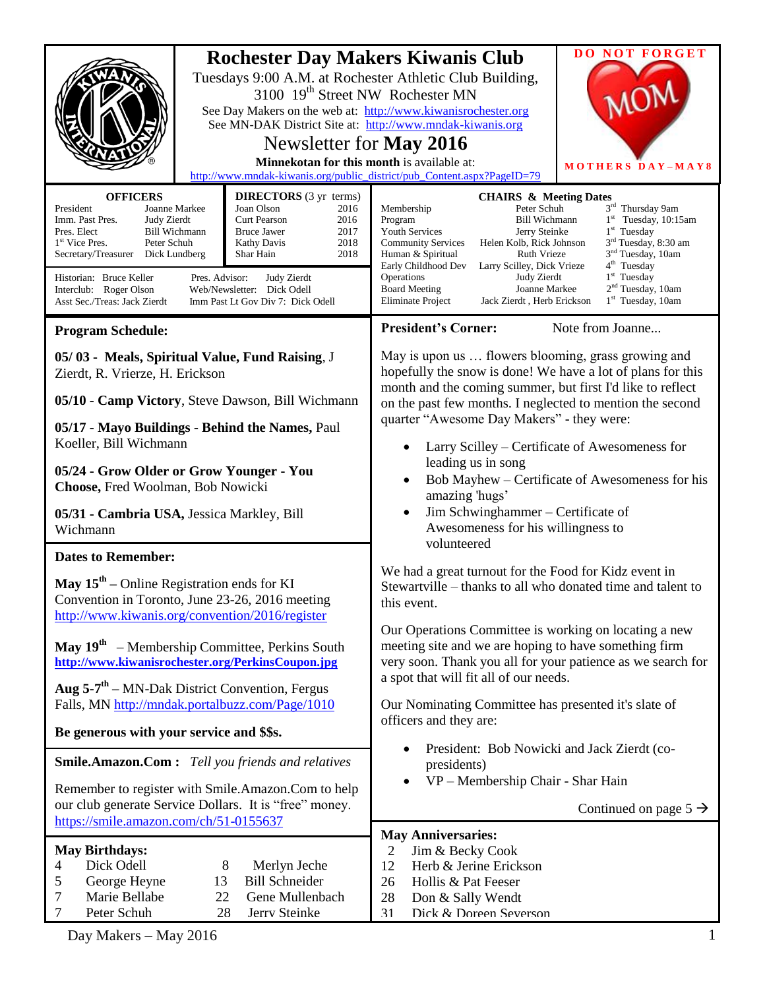| <b>OFFICERS</b><br>President<br>Joanne Markee<br>Imm. Past Pres.<br>Judy Zierdt<br>Pres. Elect<br>Bill Wichmann<br>Peter Schuh<br>1 <sup>st</sup> Vice Pres.<br>Secretary/Treasurer<br>Dick Lundberg                                                          | 3100 19 <sup>th</sup> Street NW Rochester MN<br>Newsletter for May 2016<br>Minnekotan for this month is available at:<br><b>DIRECTORS</b> (3 yr terms)<br>Joan Olson<br>2016<br><b>Curt Pearson</b><br>2016<br>2017<br><b>Bruce Jawer</b><br><b>Kathy Davis</b><br>2018<br>Shar Hain<br>2018 | <b>DO NOT FORGET</b><br><b>Rochester Day Makers Kiwanis Club</b><br>Tuesdays 9:00 A.M. at Rochester Athletic Club Building,<br>See Day Makers on the web at: http://www.kiwanisrochester.org<br>See MN-DAK District Site at: http://www.mndak-kiwanis.org<br>MOTHERS DAY-MAY8<br>http://www.mndak-kiwanis.org/public_district/pub_Content.aspx?PageID=79<br><b>CHAIRS &amp; Meeting Dates</b><br>3rd Thursday 9am<br>Peter Schuh<br>Membership<br>$1st$ Tuesday, 10:15am<br>Program<br><b>Bill Wichmann</b><br>$1st$ Tuesday<br><b>Youth Services</b><br>Jerry Steinke<br>3 <sup>rd</sup> Tuesday, 8:30 am<br><b>Community Services</b><br>Helen Kolb, Rick Johnson<br>3 <sup>nd</sup> Tuesday, 10am<br>Human & Spiritual<br>Ruth Vrieze                                                                                                                                                                          |  |  |
|---------------------------------------------------------------------------------------------------------------------------------------------------------------------------------------------------------------------------------------------------------------|----------------------------------------------------------------------------------------------------------------------------------------------------------------------------------------------------------------------------------------------------------------------------------------------|-------------------------------------------------------------------------------------------------------------------------------------------------------------------------------------------------------------------------------------------------------------------------------------------------------------------------------------------------------------------------------------------------------------------------------------------------------------------------------------------------------------------------------------------------------------------------------------------------------------------------------------------------------------------------------------------------------------------------------------------------------------------------------------------------------------------------------------------------------------------------------------------------------------------|--|--|
| Historian: Bruce Keller<br>Pres. Advisor:<br>Interclub: Roger Olson<br>Asst Sec./Treas: Jack Zierdt                                                                                                                                                           | Judy Zierdt<br>Web/Newsletter: Dick Odell<br>Imm Past Lt Gov Div 7: Dick Odell                                                                                                                                                                                                               | 4 <sup>th</sup> Tuesday<br>Early Childhood Dev<br>Larry Scilley, Dick Vrieze<br>$1st$ Tuesday<br>Operations<br>Judy Zierdt<br>2 <sup>nd</sup> Tuesday, 10am<br><b>Board Meeting</b><br>Joanne Markee<br><b>Eliminate Project</b><br>Jack Zierdt, Herb Erickson<br>$1st$ Tuesday, 10am                                                                                                                                                                                                                                                                                                                                                                                                                                                                                                                                                                                                                             |  |  |
| <b>Program Schedule:</b>                                                                                                                                                                                                                                      |                                                                                                                                                                                                                                                                                              | <b>President's Corner:</b><br>Note from Joanne                                                                                                                                                                                                                                                                                                                                                                                                                                                                                                                                                                                                                                                                                                                                                                                                                                                                    |  |  |
| 05/03 - Meals, Spiritual Value, Fund Raising, J<br>Zierdt, R. Vrierze, H. Erickson<br>05/10 - Camp Victory, Steve Dawson, Bill Wichmann<br>05/17 - Mayo Buildings - Behind the Names, Paul                                                                    |                                                                                                                                                                                                                                                                                              | May is upon us  flowers blooming, grass growing and<br>hopefully the snow is done! We have a lot of plans for this<br>month and the coming summer, but first I'd like to reflect<br>on the past few months. I neglected to mention the second<br>quarter "Awesome Day Makers" - they were:<br>Larry Scilley – Certificate of Awesomeness for<br>leading us in song<br>Bob Mayhew - Certificate of Awesomeness for his<br>amazing 'hugs'<br>Jim Schwinghammer - Certificate of<br>$\bullet$<br>Awesomeness for his willingness to<br>volunteered<br>We had a great turnout for the Food for Kidz event in<br>Stewartville – thanks to all who donated time and talent to<br>this event.<br>Our Operations Committee is working on locating a new<br>meeting site and we are hoping to have something firm<br>very soon. Thank you all for your patience as we search for<br>a spot that will fit all of our needs. |  |  |
| Koeller, Bill Wichmann<br>05/24 - Grow Older or Grow Younger - You<br>Choose, Fred Woolman, Bob Nowicki<br>05/31 - Cambria USA, Jessica Markley, Bill                                                                                                         |                                                                                                                                                                                                                                                                                              |                                                                                                                                                                                                                                                                                                                                                                                                                                                                                                                                                                                                                                                                                                                                                                                                                                                                                                                   |  |  |
| Wichmann                                                                                                                                                                                                                                                      |                                                                                                                                                                                                                                                                                              |                                                                                                                                                                                                                                                                                                                                                                                                                                                                                                                                                                                                                                                                                                                                                                                                                                                                                                                   |  |  |
| <b>Dates to Remember:</b><br>May $15th$ – Online Registration ends for KI<br>Convention in Toronto, June 23-26, 2016 meeting<br>http://www.kiwanis.org/convention/2016/register                                                                               |                                                                                                                                                                                                                                                                                              |                                                                                                                                                                                                                                                                                                                                                                                                                                                                                                                                                                                                                                                                                                                                                                                                                                                                                                                   |  |  |
| May $19th$<br>- Membership Committee, Perkins South<br>http://www.kiwanisrochester.org/PerkinsCoupon.jpg<br>Aug $5-7$ <sup>th</sup> – MN-Dak District Convention, Fergus<br>Falls, MN http://mndak.portalbuzz.com/Page/1010                                   |                                                                                                                                                                                                                                                                                              |                                                                                                                                                                                                                                                                                                                                                                                                                                                                                                                                                                                                                                                                                                                                                                                                                                                                                                                   |  |  |
|                                                                                                                                                                                                                                                               |                                                                                                                                                                                                                                                                                              | Our Nominating Committee has presented it's slate of<br>officers and they are:                                                                                                                                                                                                                                                                                                                                                                                                                                                                                                                                                                                                                                                                                                                                                                                                                                    |  |  |
| Be generous with your service and \$\$s.<br><b>Smile.Amazon.Com:</b> Tell you friends and relatives<br>Remember to register with Smile.Amazon.Com to help<br>our club generate Service Dollars. It is "free" money.<br>https://smile.amazon.com/ch/51-0155637 |                                                                                                                                                                                                                                                                                              | President: Bob Nowicki and Jack Zierdt (co-<br>presidents)<br>VP - Membership Chair - Shar Hain<br>Continued on page $5 \rightarrow$                                                                                                                                                                                                                                                                                                                                                                                                                                                                                                                                                                                                                                                                                                                                                                              |  |  |
| <b>May Birthdays:</b><br>Dick Odell<br>8<br>Merlyn Jeche<br>4<br><b>Bill Schneider</b><br>George Heyne<br>13<br>5<br>Gene Mullenbach<br>Marie Bellabe<br>22<br>7<br>$\tau$<br>Peter Schuh<br>28<br>Jerry Steinke                                              |                                                                                                                                                                                                                                                                                              | <b>May Anniversaries:</b><br>Jim & Becky Cook<br>2<br>Herb & Jerine Erickson<br>12<br>Hollis & Pat Feeser<br>26<br>28<br>Don & Sally Wendt<br>Dick & Doreen Severson<br>31                                                                                                                                                                                                                                                                                                                                                                                                                                                                                                                                                                                                                                                                                                                                        |  |  |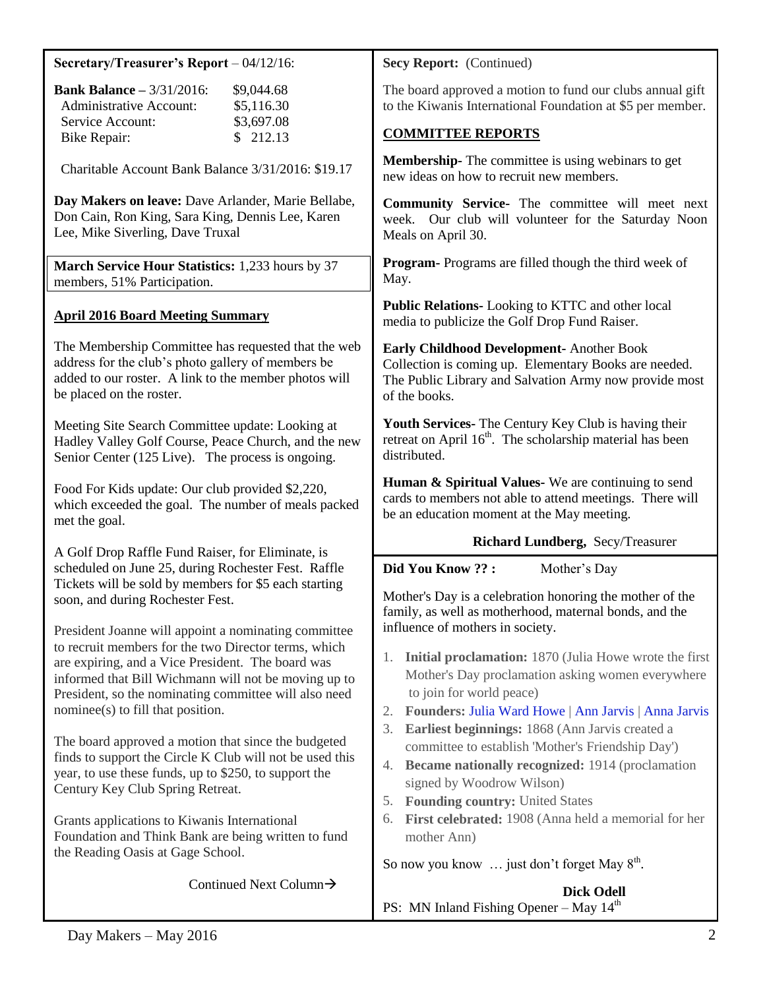| Secretary/Treasurer's Report $-04/12/16$ :                                                                                                                                                     | Secy Report: (Continued)                                                                                                                                                      |  |  |
|------------------------------------------------------------------------------------------------------------------------------------------------------------------------------------------------|-------------------------------------------------------------------------------------------------------------------------------------------------------------------------------|--|--|
| <b>Bank Balance - 3/31/2016:</b><br>\$9,044.68<br><b>Administrative Account:</b><br>\$5,116.30                                                                                                 | The board approved a motion to fund our clubs annual gift<br>to the Kiwanis International Foundation at \$5 per member.                                                       |  |  |
| Service Account:<br>\$3,697.08<br>\$212.13<br><b>Bike Repair:</b>                                                                                                                              | <b>COMMITTEE REPORTS</b>                                                                                                                                                      |  |  |
| Charitable Account Bank Balance 3/31/2016: \$19.17                                                                                                                                             | <b>Membership-</b> The committee is using webinars to get<br>new ideas on how to recruit new members.                                                                         |  |  |
| Day Makers on leave: Dave Arlander, Marie Bellabe,<br>Don Cain, Ron King, Sara King, Dennis Lee, Karen<br>Lee, Mike Siverling, Dave Truxal                                                     | Community Service- The committee will meet next<br>week. Our club will volunteer for the Saturday Noon<br>Meals on April 30.                                                  |  |  |
| March Service Hour Statistics: 1,233 hours by 37<br>members, 51% Participation.                                                                                                                | <b>Program-</b> Programs are filled though the third week of<br>May.                                                                                                          |  |  |
| <b>April 2016 Board Meeting Summary</b>                                                                                                                                                        | Public Relations-Looking to KTTC and other local<br>media to publicize the Golf Drop Fund Raiser.                                                                             |  |  |
| The Membership Committee has requested that the web<br>address for the club's photo gallery of members be<br>added to our roster. A link to the member photos will<br>be placed on the roster. | Early Childhood Development- Another Book<br>Collection is coming up. Elementary Books are needed.<br>The Public Library and Salvation Army now provide most<br>of the books. |  |  |
| Meeting Site Search Committee update: Looking at<br>Hadley Valley Golf Course, Peace Church, and the new<br>Senior Center (125 Live). The process is ongoing.                                  | Youth Services- The Century Key Club is having their<br>retreat on April 16 <sup>th</sup> . The scholarship material has been<br>distributed.                                 |  |  |
| Food For Kids update: Our club provided \$2,220,<br>which exceeded the goal. The number of meals packed<br>met the goal.                                                                       | Human & Spiritual Values-We are continuing to send<br>cards to members not able to attend meetings. There will<br>be an education moment at the May meeting.                  |  |  |
| A Golf Drop Raffle Fund Raiser, for Eliminate, is                                                                                                                                              | Richard Lundberg, Secy/Treasurer                                                                                                                                              |  |  |
| scheduled on June 25, during Rochester Fest. Raffle                                                                                                                                            | Did You Know ?? :<br>Mother's Day                                                                                                                                             |  |  |
| Tickets will be sold by members for \$5 each starting<br>soon, and during Rochester Fest.                                                                                                      | Mother's Day is a celebration honoring the mother of the<br>family, as well as motherhood, maternal bonds, and the                                                            |  |  |
| President Joanne will appoint a nominating committee<br>to recruit members for the two Director terms, which                                                                                   | influence of mothers in society.                                                                                                                                              |  |  |
| are expiring, and a Vice President. The board was                                                                                                                                              | <b>Initial proclamation:</b> 1870 (Julia Howe wrote the first<br>Ι.<br>Mother's Day proclamation asking women everywhere                                                      |  |  |
| informed that Bill Wichmann will not be moving up to<br>President, so the nominating committee will also need                                                                                  | to join for world peace)                                                                                                                                                      |  |  |
| nominee(s) to fill that position.                                                                                                                                                              | Founders: Julia Ward Howe   Ann Jarvis   Anna Jarvis<br>2.<br>Earliest beginnings: 1868 (Ann Jarvis created a<br>3.                                                           |  |  |
| The board approved a motion that since the budgeted<br>finds to support the Circle K Club will not be used this                                                                                | committee to establish 'Mother's Friendship Day')                                                                                                                             |  |  |
| year, to use these funds, up to \$250, to support the<br>Century Key Club Spring Retreat.                                                                                                      | <b>Became nationally recognized: 1914 (proclamation</b><br>4.<br>signed by Woodrow Wilson)                                                                                    |  |  |
| Grants applications to Kiwanis International                                                                                                                                                   | <b>Founding country: United States</b><br>5.<br>First celebrated: 1908 (Anna held a memorial for her<br>6.                                                                    |  |  |
| Foundation and Think Bank are being written to fund                                                                                                                                            | mother Ann)                                                                                                                                                                   |  |  |
| the Reading Oasis at Gage School.                                                                                                                                                              | So now you know  just don't forget May 8 <sup>th</sup> .                                                                                                                      |  |  |
|                                                                                                                                                                                                |                                                                                                                                                                               |  |  |
| Continued Next Column $\rightarrow$                                                                                                                                                            | <b>Dick Odell</b><br>PS: MN Inland Fishing Opener - May $14th$                                                                                                                |  |  |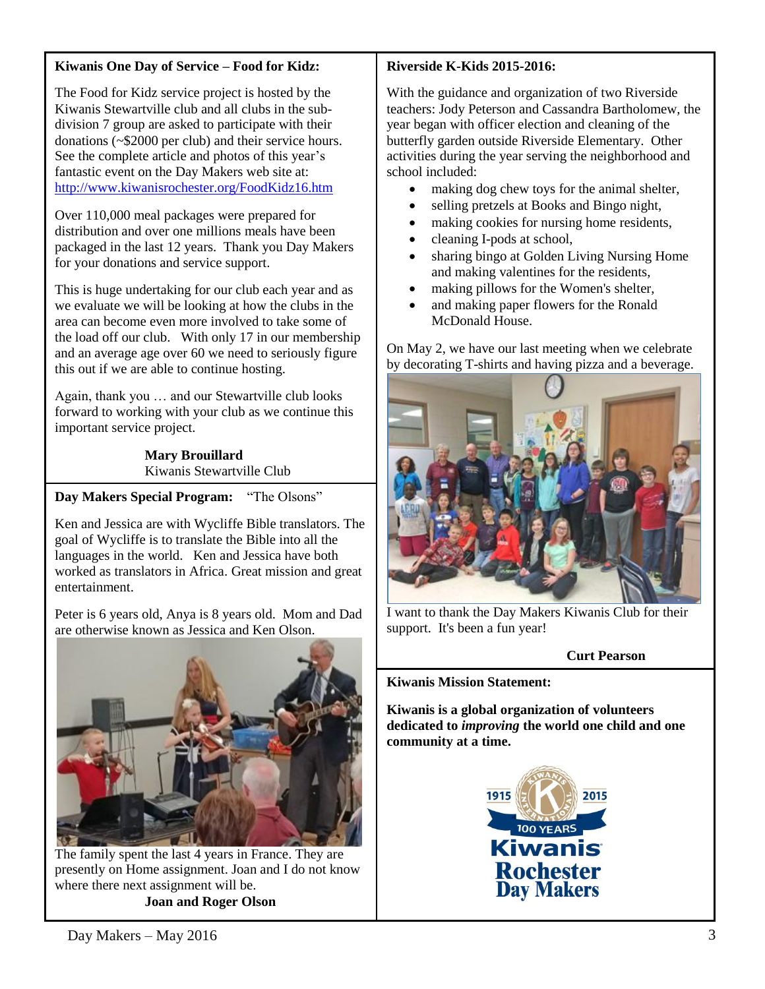#### **Kiwanis One Day of Service – Food for Kidz:**

The Food for Kidz service project is hosted by the Kiwanis Stewartville club and all clubs in the subdivision 7 group are asked to participate with their donations (~\$2000 per club) and their service hours. See the complete article and photos of this year's fantastic event on the Day Makers web site at: <http://www.kiwanisrochester.org/FoodKidz16.htm>

Over 110,000 meal packages were prepared for distribution and over one millions meals have been packaged in the last 12 years. Thank you Day Makers for your donations and service support.

This is huge undertaking for our club each year and as we evaluate we will be looking at how the clubs in the area can become even more involved to take some of the load off our club. With only 17 in our membership and an average age over 60 we need to seriously figure this out if we are able to continue hosting.

Again, thank you … and our Stewartville club looks forward to working with your club as we continue this important service project.

> **Mary Brouillard**  Kiwanis Stewartville Club

**Day Makers Special Program:** "The Olsons"

Ken and Jessica are with Wycliffe Bible translators. The goal of Wycliffe is to translate the Bible into all the languages in the world. Ken and Jessica have both worked as translators in Africa. Great mission and great entertainment.

Peter is 6 years old, Anya is 8 years old. Mom and Dad are otherwise known as Jessica and Ken Olson.



The family spent the last 4 years in France. They are presently on Home assignment. Joan and I do not know where there next assignment will be. **Joan and Roger Olson**

## **Riverside K-Kids 2015-2016:**

With the guidance and organization of two Riverside teachers: Jody Peterson and Cassandra Bartholomew, the year began with officer election and cleaning of the butterfly garden outside Riverside Elementary. Other activities during the year serving the neighborhood and school included:

- making dog chew toys for the animal shelter,
- selling pretzels at Books and Bingo night,
- making cookies for nursing home residents,
- cleaning I-pods at school,
- sharing bingo at Golden Living Nursing Home and making valentines for the residents,
- making pillows for the Women's shelter,
- and making paper flowers for the Ronald McDonald House.

On May 2, we have our last meeting when we celebrate by decorating T-shirts and having pizza and a beverage.



I want to thank the Day Makers Kiwanis Club for their support. It's been a fun year!

## **Curt Pearson**

**Kiwanis Mission Statement:**

**Kiwanis is a global organization of volunteers dedicated to** *improving* **the world one child and one community at a time.**

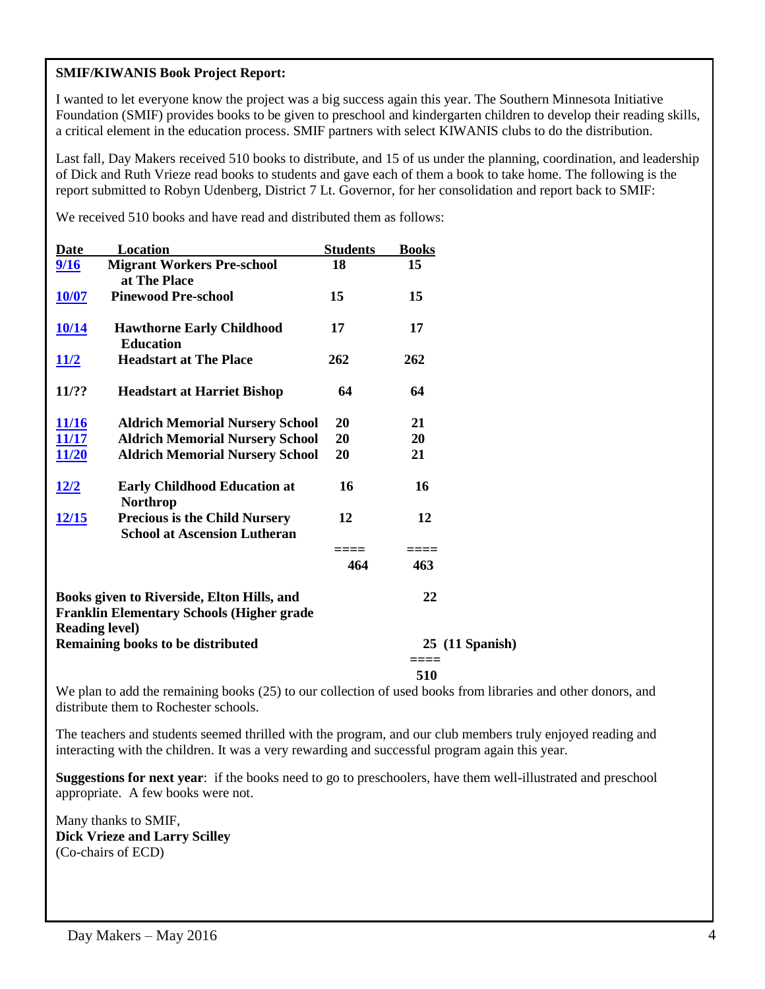#### **SMIF/KIWANIS Book Project Report:**

I wanted to let everyone know the project was a big success again this year. The Southern Minnesota Initiative Foundation (SMIF) provides books to be given to preschool and kindergarten children to develop their reading skills, a critical element in the education process. SMIF partners with select KIWANIS clubs to do the distribution.

Last fall, Day Makers received 510 books to distribute, and 15 of us under the planning, coordination, and leadership of Dick and Ruth Vrieze read books to students and gave each of them a book to take home. The following is the report submitted to Robyn Udenberg, District 7 Lt. Governor, for her consolidation and report back to SMIF:

We received 510 books and have read and distributed them as follows:

| <b>Date</b>                                                | Location                                         | <b>Students</b> | <b>Books</b> |                 |
|------------------------------------------------------------|--------------------------------------------------|-----------------|--------------|-----------------|
| 9/16                                                       | <b>Migrant Workers Pre-school</b>                | 18              | 15           |                 |
|                                                            | at The Place                                     |                 |              |                 |
| <b>10/07</b>                                               | <b>Pinewood Pre-school</b>                       | 15              | 15           |                 |
|                                                            |                                                  |                 |              |                 |
| <u>10/14</u>                                               | <b>Hawthorne Early Childhood</b>                 | 17              | 17           |                 |
|                                                            | <b>Education</b>                                 |                 |              |                 |
| <u> 11/2</u>                                               | <b>Headstart at The Place</b>                    | 262             | 262          |                 |
|                                                            |                                                  |                 |              |                 |
| <b>11/??</b>                                               | <b>Headstart at Harriet Bishop</b>               | 64              | 64           |                 |
| <u>11/16</u>                                               | <b>Aldrich Memorial Nursery School</b>           | 20              | 21           |                 |
| <u>11/17</u>                                               | <b>Aldrich Memorial Nursery School</b>           | 20              | 20           |                 |
| <u>11/20</u>                                               | <b>Aldrich Memorial Nursery School</b>           | 20              | 21           |                 |
|                                                            |                                                  |                 |              |                 |
| <u> 12/2</u>                                               | <b>Early Childhood Education at</b>              | 16              | 16           |                 |
|                                                            | <b>Northrop</b>                                  |                 |              |                 |
| <b>12/15</b>                                               | <b>Precious is the Child Nursery</b>             | 12              | 12           |                 |
|                                                            | <b>School at Ascension Lutheran</b>              |                 |              |                 |
|                                                            |                                                  |                 | ===          |                 |
|                                                            |                                                  | 464             | 463          |                 |
| Books given to Riverside, Elton Hills, and                 |                                                  |                 | 22           |                 |
|                                                            | <b>Franklin Elementary Schools (Higher grade</b> |                 |              |                 |
|                                                            |                                                  |                 |              |                 |
| <b>Reading level)</b><br>Remaining books to be distributed |                                                  |                 |              | 25 (11 Spanish) |
|                                                            |                                                  |                 | $====$       |                 |
|                                                            |                                                  |                 | 510          |                 |

We plan to add the remaining books (25) to our collection of used books from libraries and other donors, and distribute them to Rochester schools.

The teachers and students seemed thrilled with the program, and our club members truly enjoyed reading and interacting with the children. It was a very rewarding and successful program again this year.

**Suggestions for next year**: if the books need to go to preschoolers, have them well-illustrated and preschool appropriate. A few books were not.

Many thanks to SMIF, **Dick Vrieze and Larry Scilley** (Co-chairs of ECD)